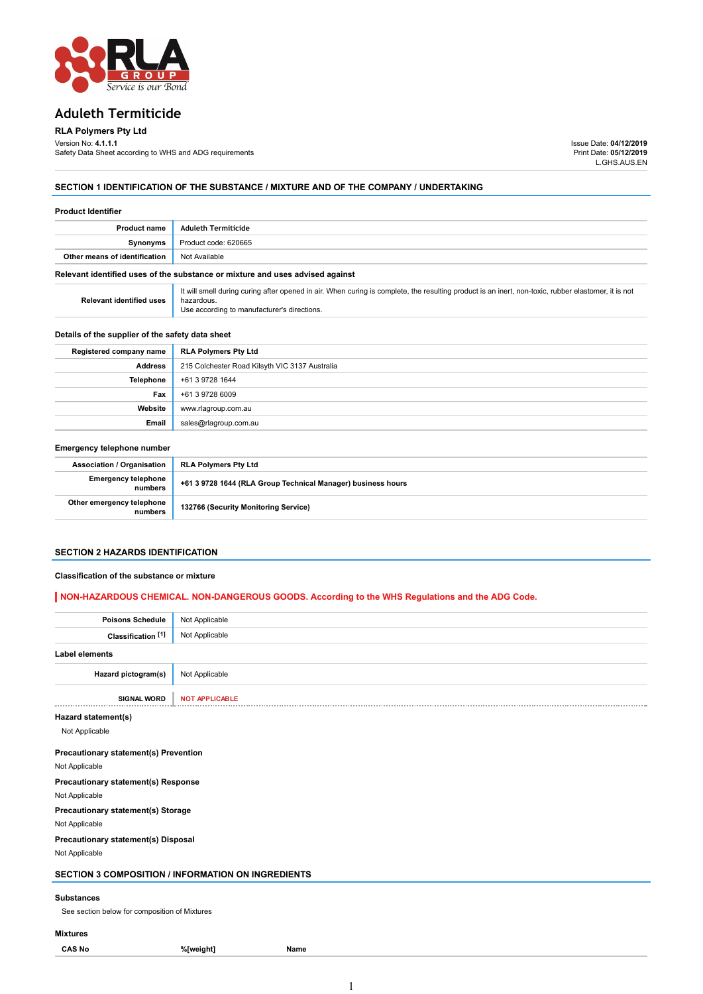

# **Aduleth Termiticide**

RLA Polymers Pty Ltd

Version No: 4.1.1.1 Safety Data Sheet according to WHS and ADG requirements Issue Date: 04/12/2019 Print Date: 05/12/2019 L.GHS.AUS.EN

### SECTION 1 IDENTIFICATION OF THE SUBSTANCE / MIXTURE AND OF THE COMPANY / UNDERTAKING

| <b>Product name</b>           | <b>Aduleth Termiticide</b> |
|-------------------------------|----------------------------|
| Synonyms                      | Product code: 620665       |
| Other means of identification | Not Available              |

| <b>Relevant identified uses</b> | It will smell during curing after opened in air. When curing is complete, the resulting product is an inert, non-toxic, rubber elastomer, it is not<br>hazardous.<br>Use according to manufacturer's directions. |
|---------------------------------|------------------------------------------------------------------------------------------------------------------------------------------------------------------------------------------------------------------|

### Details of the supplier of the safety data sheet

| Registered company name | <b>RLA Polymers Pty Ltd</b>                    |
|-------------------------|------------------------------------------------|
| <b>Address</b>          | 215 Colchester Road Kilsyth VIC 3137 Australia |
| Telephone               | +61 3 9728 1644                                |
| Fax                     | +61 3 9728 6009                                |
| Website                 | www.rlagroup.com.au                            |
| Email                   | sales@rlagroup.com.au                          |

### Emergency telephone number

| <b>Association / Organisation</b>     | RLA Polymers Pty Ltd                                         |
|---------------------------------------|--------------------------------------------------------------|
| <b>Emergency telephone</b><br>numbers | +61 3 9728 1644 (RLA Group Technical Manager) business hours |
| Other emergency telephone<br>numbers  | 132766 (Security Monitoring Service)                         |

### SECTION 2 HAZARDS IDENTIFICATION

#### Classification of the substance or mixture

### NON-HAZARDOUS CHEMICAL. NON-DANGEROUS GOODS. According to the WHS Regulations and the ADG Code.

| <b>Poisons Schedule</b>                                   | Not Applicable        |      |  |
|-----------------------------------------------------------|-----------------------|------|--|
| Classification [1]                                        | Not Applicable        |      |  |
| Label elements                                            |                       |      |  |
| Hazard pictogram(s)                                       | Not Applicable        |      |  |
| <b>SIGNAL WORD</b>                                        | <b>NOT APPLICABLE</b> |      |  |
| Hazard statement(s)                                       |                       |      |  |
| Not Applicable                                            |                       |      |  |
| Precautionary statement(s) Prevention                     |                       |      |  |
| Not Applicable                                            |                       |      |  |
| Precautionary statement(s) Response                       |                       |      |  |
| Not Applicable                                            |                       |      |  |
| <b>Precautionary statement(s) Storage</b>                 |                       |      |  |
| Not Applicable                                            |                       |      |  |
| Precautionary statement(s) Disposal                       |                       |      |  |
| Not Applicable                                            |                       |      |  |
| <b>SECTION 3 COMPOSITION / INFORMATION ON INGREDIENTS</b> |                       |      |  |
| <b>Substances</b>                                         |                       |      |  |
| See section below for composition of Mixtures             |                       |      |  |
| <b>Mixtures</b>                                           |                       |      |  |
| <b>CAS No</b>                                             | %[weight]             | Name |  |
|                                                           |                       |      |  |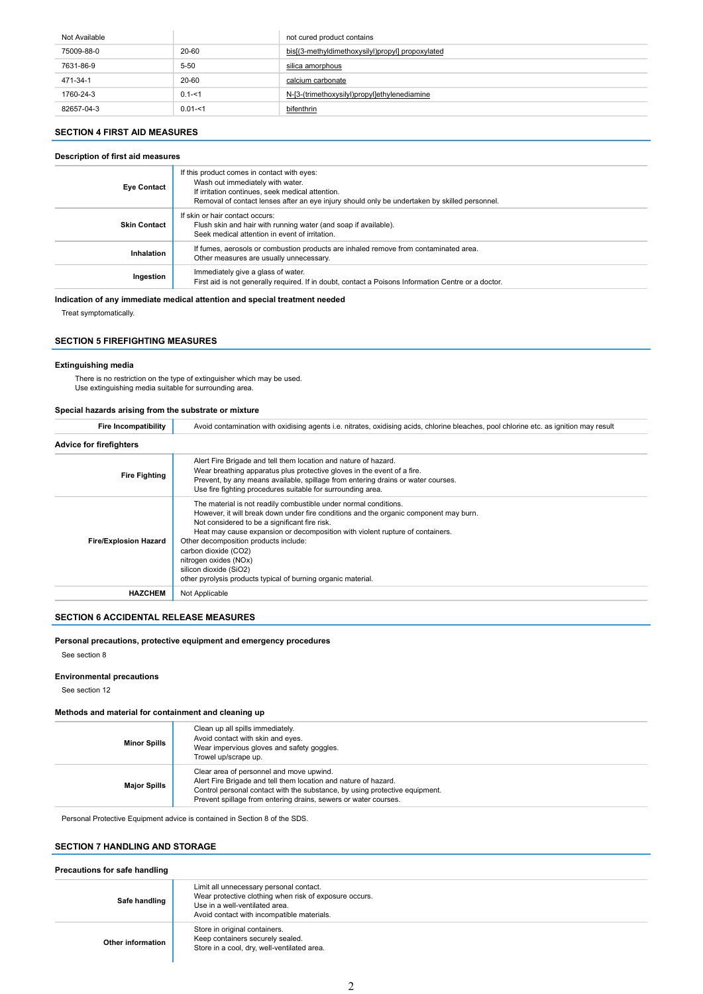| Not Available |             | not cured product contains                       |
|---------------|-------------|--------------------------------------------------|
| 75009-88-0    | 20-60       | bis[(3-methyldimethoxysilyl)propyl] propoxylated |
| 7631-86-9     | $5 - 50$    | silica amorphous                                 |
| 471-34-1      | 20-60       | calcium carbonate                                |
| 1760-24-3     | $0.1 - 51$  | N-[3-(trimethoxysilyl)propyl]ethylenediamine     |
| 82657-04-3    | $0.01 - 51$ | bifenthrin                                       |

### SECTION 4 FIRST AID MEASURES

### Description of first aid measures

| If this product comes in contact with eyes:<br>Wash out immediately with water.<br>If irritation continues, seek medical attention.<br>Removal of contact lenses after an eye injury should only be undertaken by skilled personnel. |
|--------------------------------------------------------------------------------------------------------------------------------------------------------------------------------------------------------------------------------------|
| If skin or hair contact occurs:<br>Flush skin and hair with running water (and soap if available).<br>Seek medical attention in event of irritation.                                                                                 |
| If fumes, aerosols or combustion products are inhaled remove from contaminated area.<br>Other measures are usually unnecessary.                                                                                                      |
| Immediately give a glass of water.<br>First aid is not generally required. If in doubt, contact a Poisons Information Centre or a doctor.                                                                                            |
|                                                                                                                                                                                                                                      |

### Indication of any immediate medical attention and special treatment needed

Treat symptomatically.

### SECTION 5 FIREFIGHTING MEASURES

### Extinguishing media

There is no restriction on the type of extinguisher which may be used. Use extinguishing media suitable for surrounding area.

### Special hazards arising from the substrate or mixture

| <b>Fire Incompatibility</b>    | Avoid contamination with oxidising agents i.e. nitrates, oxidising acids, chlorine bleaches, pool chlorine etc. as ignition may result                                                                                                                                                                                                                                                                                                                                           |  |  |  |  |  |  |
|--------------------------------|----------------------------------------------------------------------------------------------------------------------------------------------------------------------------------------------------------------------------------------------------------------------------------------------------------------------------------------------------------------------------------------------------------------------------------------------------------------------------------|--|--|--|--|--|--|
| <b>Advice for firefighters</b> |                                                                                                                                                                                                                                                                                                                                                                                                                                                                                  |  |  |  |  |  |  |
| <b>Fire Fighting</b>           | Alert Fire Brigade and tell them location and nature of hazard.<br>Wear breathing apparatus plus protective gloves in the event of a fire.<br>Prevent, by any means available, spillage from entering drains or water courses.<br>Use fire fighting procedures suitable for surrounding area.                                                                                                                                                                                    |  |  |  |  |  |  |
| <b>Fire/Explosion Hazard</b>   | The material is not readily combustible under normal conditions.<br>However, it will break down under fire conditions and the organic component may burn.<br>Not considered to be a significant fire risk.<br>Heat may cause expansion or decomposition with violent rupture of containers.<br>Other decomposition products include:<br>carbon dioxide (CO2)<br>nitrogen oxides (NOx)<br>silicon dioxide (SiO2)<br>other pyrolysis products typical of burning organic material. |  |  |  |  |  |  |
| <b>HAZCHEM</b>                 | Not Applicable                                                                                                                                                                                                                                                                                                                                                                                                                                                                   |  |  |  |  |  |  |

### SECTION 6 ACCIDENTAL RELEASE MEASURES

Personal precautions, protective equipment and emergency procedures

#### See section 8

### Environmental precautions

See section 12

### Methods and material for containment and cleaning up

| <b>Minor Spills</b> | Clean up all spills immediately.<br>Avoid contact with skin and eyes.<br>Wear impervious gloves and safety goggles.<br>Trowel up/scrape up.                                                                                                                   |
|---------------------|---------------------------------------------------------------------------------------------------------------------------------------------------------------------------------------------------------------------------------------------------------------|
| <b>Major Spills</b> | Clear area of personnel and move upwind.<br>Alert Fire Brigade and tell them location and nature of hazard.<br>Control personal contact with the substance, by using protective equipment.<br>Prevent spillage from entering drains, sewers or water courses. |

Personal Protective Equipment advice is contained in Section 8 of the SDS.

# SECTION 7 HANDLING AND STORAGE

| Precautions for safe handling |                                                                                                                                                                                   |
|-------------------------------|-----------------------------------------------------------------------------------------------------------------------------------------------------------------------------------|
| Safe handling                 | Limit all unnecessary personal contact.<br>Wear protective clothing when risk of exposure occurs.<br>Use in a well-ventilated area.<br>Avoid contact with incompatible materials. |
| Other information             | Store in original containers.<br>Keep containers securely sealed.<br>Store in a cool, dry, well-ventilated area.                                                                  |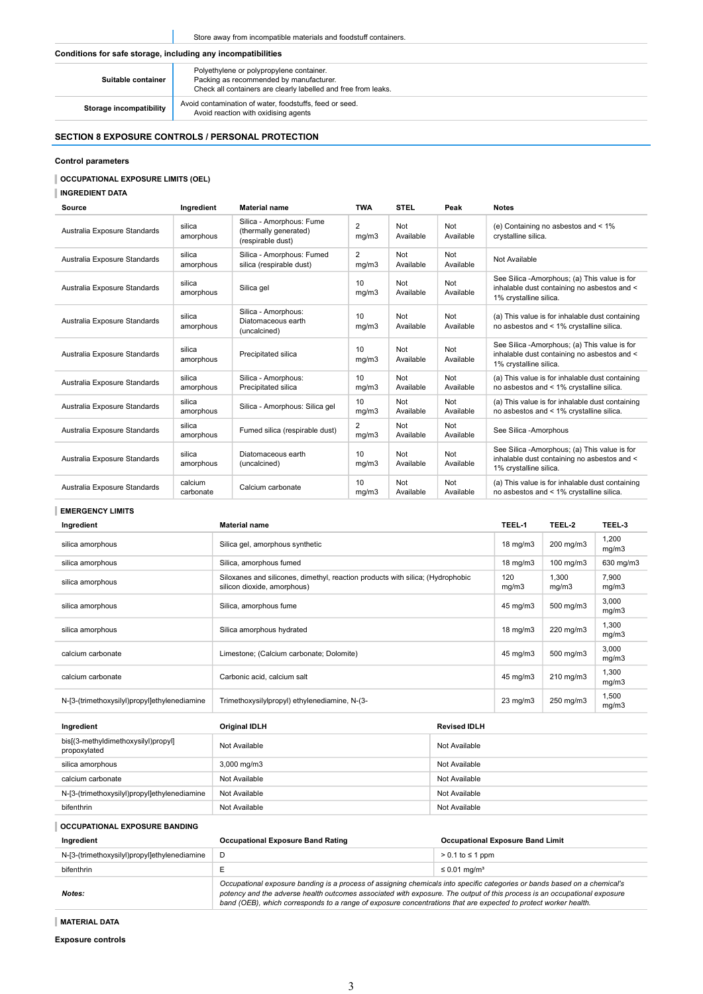Store away from incompatible materials and foodstuff containers.

## Conditions for safe storage, including any incompatibilities

| Suitable container             | Polyethylene or polypropylene container.<br>Packing as recommended by manufacturer.<br>Check all containers are clearly labelled and free from leaks. |
|--------------------------------|-------------------------------------------------------------------------------------------------------------------------------------------------------|
| <b>Storage incompatibility</b> | Avoid contamination of water, foodstuffs, feed or seed.<br>Avoid reaction with oxidising agents                                                       |
|                                |                                                                                                                                                       |

## SECTION 8 EXPOSURE CONTROLS / PERSONAL PROTECTION

## Control parameters

### OCCUPATIONAL EXPOSURE LIMITS (OEL)

### INGREDIENT DATA

| Source                       | Ingredient           | <b>Material name</b>                                                   | <b>TWA</b>              | <b>STEL</b>      | Peak             | <b>Notes</b>                                                                                                           |
|------------------------------|----------------------|------------------------------------------------------------------------|-------------------------|------------------|------------------|------------------------------------------------------------------------------------------------------------------------|
| Australia Exposure Standards | silica<br>amorphous  | Silica - Amorphous: Fume<br>(thermally generated)<br>(respirable dust) | $\overline{2}$<br>mg/m3 | Not<br>Available | Not<br>Available | (e) Containing no asbestos and < 1%<br>crystalline silica.                                                             |
| Australia Exposure Standards | silica<br>amorphous  | Silica - Amorphous: Fumed<br>silica (respirable dust)                  | 2<br>mg/m3              | Not<br>Available | Not<br>Available | Not Available                                                                                                          |
| Australia Exposure Standards | silica<br>amorphous  | Silica gel                                                             | 10<br>mq/m3             | Not<br>Available | Not<br>Available | See Silica - Amorphous; (a) This value is for<br>inhalable dust containing no asbestos and <<br>1% crystalline silica. |
| Australia Exposure Standards | silica<br>amorphous  | Silica - Amorphous:<br>Diatomaceous earth<br>(uncalcined)              | 10<br>mg/m3             | Not<br>Available | Not<br>Available | (a) This value is for inhalable dust containing<br>no asbestos and < 1% crystalline silica.                            |
| Australia Exposure Standards | silica<br>amorphous  | Precipitated silica                                                    | 10<br>mq/m3             | Not<br>Available | Not<br>Available | See Silica - Amorphous; (a) This value is for<br>inhalable dust containing no asbestos and <<br>1% crystalline silica. |
| Australia Exposure Standards | silica<br>amorphous  | Silica - Amorphous:<br>Precipitated silica                             | 10<br>mq/m3             | Not<br>Available | Not<br>Available | (a) This value is for inhalable dust containing<br>no asbestos and < 1% crystalline silica.                            |
| Australia Exposure Standards | silica<br>amorphous  | Silica - Amorphous: Silica gel                                         | 10<br>mq/m3             | Not<br>Available | Not<br>Available | (a) This value is for inhalable dust containing<br>no asbestos and < 1% crystalline silica.                            |
| Australia Exposure Standards | silica<br>amorphous  | Fumed silica (respirable dust)                                         | $\overline{2}$<br>mq/m3 | Not<br>Available | Not<br>Available | See Silica - Amorphous                                                                                                 |
| Australia Exposure Standards | silica<br>amorphous  | Diatomaceous earth<br>(uncalcined)                                     | 10<br>mq/m3             | Not<br>Available | Not<br>Available | See Silica - Amorphous; (a) This value is for<br>inhalable dust containing no asbestos and <<br>1% crystalline silica. |
| Australia Exposure Standards | calcium<br>carbonate | Calcium carbonate                                                      | 10<br>mq/m3             | Not<br>Available | Not<br>Available | (a) This value is for inhalable dust containing<br>no asbestos and < 1% crystalline silica.                            |

### EMERGENCY LIMITS

| Ingredient                                          | <b>Material name</b>                                                                                          |                     | TEEL-1        | TEEL-2         | TEEL-3         |
|-----------------------------------------------------|---------------------------------------------------------------------------------------------------------------|---------------------|---------------|----------------|----------------|
| silica amorphous                                    | Silica gel, amorphous synthetic                                                                               |                     | 18 mg/m3      | 200 mg/m3      | 1.200<br>mg/m3 |
| silica amorphous                                    | Silica, amorphous fumed                                                                                       |                     | 18 mg/m3      | 100 mg/m3      | 630 mg/m3      |
| silica amorphous                                    | Siloxanes and silicones, dimethyl, reaction products with silica; (Hydrophobic<br>silicon dioxide, amorphous) |                     | 120<br>mq/m3  | 1.300<br>mq/m3 | 7.900<br>mq/m3 |
| silica amorphous                                    | Silica, amorphous fume                                                                                        |                     | 45 mg/m3      | 500 mg/m3      | 3,000<br>mg/m3 |
| silica amorphous                                    | Silica amorphous hydrated                                                                                     |                     |               | 220 mg/m3      | 1,300<br>mg/m3 |
| calcium carbonate                                   | Limestone; (Calcium carbonate; Dolomite)                                                                      |                     | 45 mg/m3      | 500 mg/m3      | 3,000<br>mg/m3 |
| calcium carbonate                                   | Carbonic acid, calcium salt                                                                                   |                     | 45 mg/m3      | 210 mg/m3      | 1.300<br>mg/m3 |
| N-[3-(trimethoxysilyl)propyl]ethylenediamine        | Trimethoxysilylpropyl) ethylenediamine, N-(3-                                                                 |                     | $23$ mg/m $3$ | 250 mg/m3      | 1.500<br>mg/m3 |
| Ingredient                                          | <b>Original IDLH</b>                                                                                          | <b>Revised IDLH</b> |               |                |                |
| bis[(3-methyldimethoxysilyl)propyl]<br>propoxylated | Not Available<br>Not Available                                                                                |                     |               |                |                |
| silica amorphous                                    | 3,000 mg/m3<br>Not Available                                                                                  |                     |               |                |                |
| calcium carbonate                                   | Not Available<br>Not Available                                                                                |                     |               |                |                |
| N-[3-(trimethoxysilyl)propyl]ethylenediamine        | Not Available<br>Not Available                                                                                |                     |               |                |                |
| bifenthrin                                          | Not Available<br>Not Available                                                                                |                     |               |                |                |

OCCUPATIONAL EXPOSURE BANDING

| Ingredient                                   | <b>Occupational Exposure Band Rating</b>                                                                                                                                                                                                                                                                                                                                 | <b>Occupational Exposure Band Limit</b> |  |
|----------------------------------------------|--------------------------------------------------------------------------------------------------------------------------------------------------------------------------------------------------------------------------------------------------------------------------------------------------------------------------------------------------------------------------|-----------------------------------------|--|
| N-[3-(trimethoxysilyl)propyl]ethylenediamine | D                                                                                                                                                                                                                                                                                                                                                                        | $> 0.1$ to $\leq 1$ ppm                 |  |
| bifenthrin                                   |                                                                                                                                                                                                                                                                                                                                                                          | $\leq$ 0.01 mg/m <sup>3</sup>           |  |
| <b>Notes:</b>                                | Occupational exposure banding is a process of assigning chemicals into specific categories or bands based on a chemical's<br>potency and the adverse health outcomes associated with exposure. The output of this process is an occupational exposure<br>band (OEB), which corresponds to a range of exposure concentrations that are expected to protect worker health. |                                         |  |

### MATERIAL DATA

Exposure controls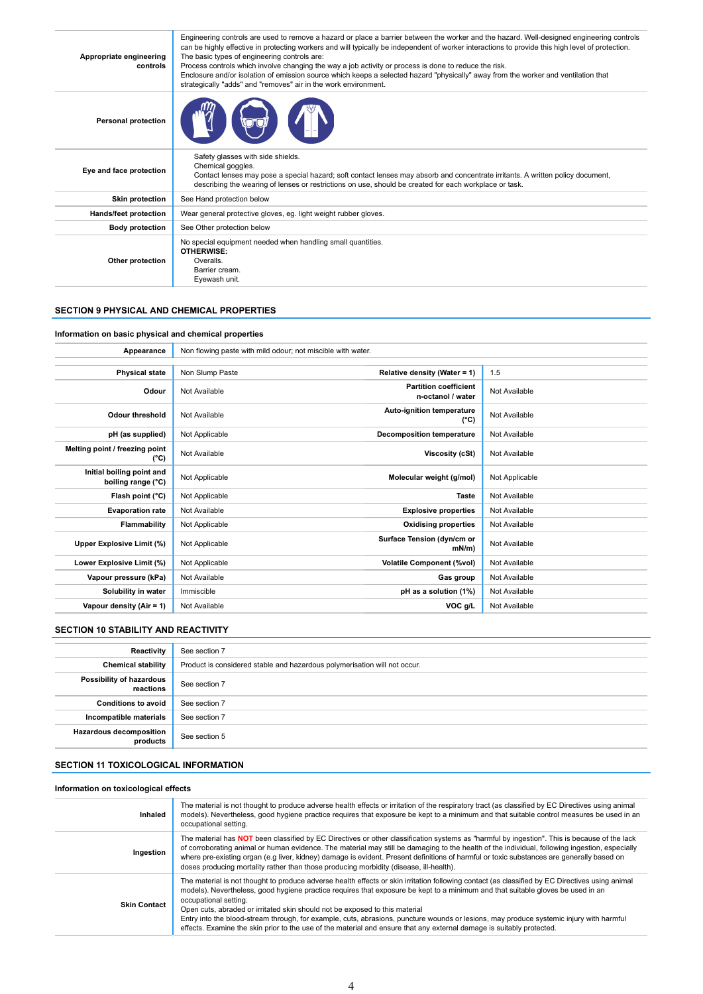| Appropriate engineering<br>controls | Engineering controls are used to remove a hazard or place a barrier between the worker and the hazard. Well-designed engineering controls<br>can be highly effective in protecting workers and will typically be independent of worker interactions to provide this high level of protection.<br>The basic types of engineering controls are:<br>Process controls which involve changing the way a job activity or process is done to reduce the risk.<br>Enclosure and/or isolation of emission source which keeps a selected hazard "physically" away from the worker and ventilation that<br>strategically "adds" and "removes" air in the work environment. |
|-------------------------------------|-----------------------------------------------------------------------------------------------------------------------------------------------------------------------------------------------------------------------------------------------------------------------------------------------------------------------------------------------------------------------------------------------------------------------------------------------------------------------------------------------------------------------------------------------------------------------------------------------------------------------------------------------------------------|
| <b>Personal protection</b>          |                                                                                                                                                                                                                                                                                                                                                                                                                                                                                                                                                                                                                                                                 |
| Eye and face protection             | Safety glasses with side shields.<br>Chemical goggles.<br>Contact lenses may pose a special hazard; soft contact lenses may absorb and concentrate irritants. A written policy document,<br>describing the wearing of lenses or restrictions on use, should be created for each workplace or task.                                                                                                                                                                                                                                                                                                                                                              |
| <b>Skin protection</b>              | See Hand protection below                                                                                                                                                                                                                                                                                                                                                                                                                                                                                                                                                                                                                                       |
| <b>Hands/feet protection</b>        | Wear general protective gloves, eg. light weight rubber gloves.                                                                                                                                                                                                                                                                                                                                                                                                                                                                                                                                                                                                 |
| <b>Body protection</b>              | See Other protection below                                                                                                                                                                                                                                                                                                                                                                                                                                                                                                                                                                                                                                      |
| Other protection                    | No special equipment needed when handling small quantities.<br><b>OTHERWISE:</b><br>Overalls.<br>Barrier cream.<br>Eyewash unit.                                                                                                                                                                                                                                                                                                                                                                                                                                                                                                                                |

# SECTION 9 PHYSICAL AND CHEMICAL PROPERTIES

### Information on basic physical and chemical properties

| Appearance                                      | Non flowing paste with mild odour; not miscible with water. |                                                   |                |
|-------------------------------------------------|-------------------------------------------------------------|---------------------------------------------------|----------------|
|                                                 |                                                             |                                                   |                |
| <b>Physical state</b>                           | Non Slump Paste                                             | Relative density (Water = 1)                      | 1.5            |
| Odour                                           | Not Available                                               | <b>Partition coefficient</b><br>n-octanol / water | Not Available  |
| Odour threshold                                 | Not Available                                               | Auto-ignition temperature<br>$(^{\circ}C)$        | Not Available  |
| pH (as supplied)                                | Not Applicable                                              | <b>Decomposition temperature</b>                  | Not Available  |
| Melting point / freezing point<br>(°C)          | Not Available                                               | Viscosity (cSt)                                   | Not Available  |
| Initial boiling point and<br>boiling range (°C) | Not Applicable                                              | Molecular weight (g/mol)                          | Not Applicable |
| Flash point (°C)                                | Not Applicable                                              | <b>Taste</b>                                      | Not Available  |
| <b>Evaporation rate</b>                         | Not Available                                               | <b>Explosive properties</b>                       | Not Available  |
| <b>Flammability</b>                             | Not Applicable                                              | <b>Oxidising properties</b>                       | Not Available  |
| Upper Explosive Limit (%)                       | Not Applicable                                              | Surface Tension (dyn/cm or<br>mN/m                | Not Available  |
| Lower Explosive Limit (%)                       | Not Applicable                                              | <b>Volatile Component (%vol)</b>                  | Not Available  |
| Vapour pressure (kPa)                           | Not Available                                               | Gas group                                         | Not Available  |
| Solubility in water                             | Immiscible                                                  | pH as a solution (1%)                             | Not Available  |
| Vapour density (Air = 1)                        | Not Available                                               | VOC g/L                                           | Not Available  |

### SECTION 10 STABILITY AND REACTIVITY

| Reactivity                                 | See section 7                                                             |
|--------------------------------------------|---------------------------------------------------------------------------|
| <b>Chemical stability</b>                  | Product is considered stable and hazardous polymerisation will not occur. |
| Possibility of hazardous<br>reactions      | See section 7                                                             |
| <b>Conditions to avoid</b>                 | See section 7                                                             |
| Incompatible materials                     | See section 7                                                             |
| <b>Hazardous decomposition</b><br>products | See section 5                                                             |

## SECTION 11 TOXICOLOGICAL INFORMATION

## Information on toxicological effects

| Inhaled             | The material is not thought to produce adverse health effects or irritation of the respiratory tract (as classified by EC Directives using animal<br>models). Nevertheless, good hygiene practice requires that exposure be kept to a minimum and that suitable control measures be used in an<br>occupational setting.                                                                                                                                                                                                                                                                                                                                        |
|---------------------|----------------------------------------------------------------------------------------------------------------------------------------------------------------------------------------------------------------------------------------------------------------------------------------------------------------------------------------------------------------------------------------------------------------------------------------------------------------------------------------------------------------------------------------------------------------------------------------------------------------------------------------------------------------|
| Ingestion           | The material has NOT been classified by EC Directives or other classification systems as "harmful by ingestion". This is because of the lack<br>of corroborating animal or human evidence. The material may still be damaging to the health of the individual, following ingestion, especially<br>where pre-existing organ (e.g liver, kidney) damage is evident. Present definitions of harmful or toxic substances are generally based on<br>doses producing mortality rather than those producing morbidity (disease, ill-health).                                                                                                                          |
| <b>Skin Contact</b> | The material is not thought to produce adverse health effects or skin irritation following contact (as classified by EC Directives using animal<br>models). Nevertheless, good hygiene practice requires that exposure be kept to a minimum and that suitable gloves be used in an<br>occupational setting.<br>Open cuts, abraded or irritated skin should not be exposed to this material<br>Entry into the blood-stream through, for example, cuts, abrasions, puncture wounds or lesions, may produce systemic injury with harmful<br>effects. Examine the skin prior to the use of the material and ensure that any external damage is suitably protected. |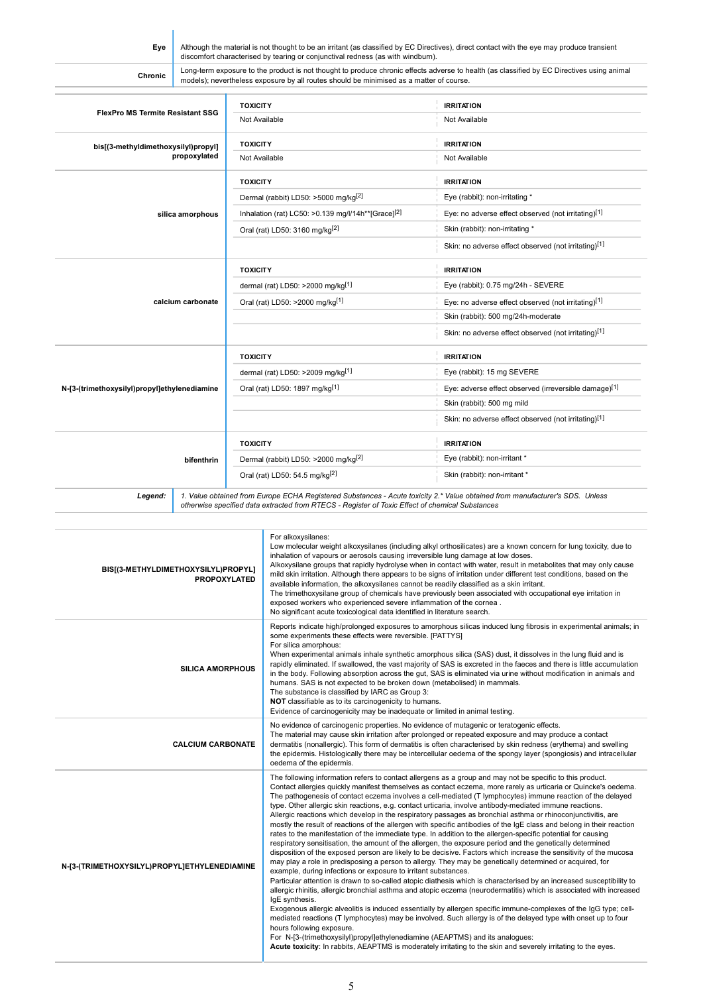Eye Although the material is not thought to be an irritant (as classified by EC Directives), direct contact with the eye may produce transient discomfort characterised by tearing or conjunctival redness (as with windburn).

Long-term exposure to the product is not thought to produce chronic effects adverse to health (as classified by EC Directives using animal<br>models); nevertheless exposure by all routes should be minimised as a matter of cou

|                                              | <b>TOXICITY</b>                                                                                                              | <b>IRRITATION</b>                                     |  |  |
|----------------------------------------------|------------------------------------------------------------------------------------------------------------------------------|-------------------------------------------------------|--|--|
| <b>FlexPro MS Termite Resistant SSG</b>      | Not Available                                                                                                                | Not Available                                         |  |  |
| bis[(3-methyldimethoxysilyl)propyl]          | <b>TOXICITY</b>                                                                                                              | <b>IRRITATION</b>                                     |  |  |
| propoxylated                                 | Not Available                                                                                                                | Not Available                                         |  |  |
|                                              | <b>TOXICITY</b>                                                                                                              | <b>IRRITATION</b>                                     |  |  |
|                                              | Dermal (rabbit) LD50: >5000 mg/kg <sup>[2]</sup>                                                                             | Eye (rabbit): non-irritating *                        |  |  |
| silica amorphous                             | Inhalation (rat) LC50: >0.139 mg/l/14h**[Grace][2]                                                                           | Eye: no adverse effect observed (not irritating)[1]   |  |  |
|                                              | Oral (rat) LD50: 3160 mg/kg <sup>[2]</sup>                                                                                   | Skin (rabbit): non-irritating *                       |  |  |
|                                              |                                                                                                                              | Skin: no adverse effect observed (not irritating)[1]  |  |  |
|                                              | <b>TOXICITY</b>                                                                                                              | <b>IRRITATION</b>                                     |  |  |
|                                              | dermal (rat) LD50: >2000 mg/kg[1]                                                                                            | Eye (rabbit): 0.75 mg/24h - SEVERE                    |  |  |
| calcium carbonate                            | Oral (rat) LD50: >2000 mg/kg <sup>[1]</sup>                                                                                  | Eye: no adverse effect observed (not irritating)[1]   |  |  |
|                                              |                                                                                                                              | Skin (rabbit): 500 mg/24h-moderate                    |  |  |
|                                              |                                                                                                                              | Skin: no adverse effect observed (not irritating)[1]  |  |  |
|                                              | <b>TOXICITY</b>                                                                                                              | <b>IRRITATION</b>                                     |  |  |
|                                              | dermal (rat) LD50: >2009 mg/kg[1]                                                                                            | Eye (rabbit): 15 mg SEVERE                            |  |  |
| N-[3-(trimethoxysilyl)propyl]ethylenediamine | Oral (rat) LD50: 1897 mg/kg[1]                                                                                               | Eye: adverse effect observed (irreversible damage)[1] |  |  |
|                                              |                                                                                                                              | Skin (rabbit): 500 mg mild                            |  |  |
|                                              |                                                                                                                              | Skin: no adverse effect observed (not irritating)[1]  |  |  |
|                                              | <b>TOXICITY</b>                                                                                                              | <b>IRRITATION</b>                                     |  |  |
| bifenthrin                                   | Dermal (rabbit) LD50: >2000 mg/kg <sup>[2]</sup>                                                                             | Eye (rabbit): non-irritant *                          |  |  |
|                                              | Oral (rat) LD50: 54.5 mg/kg[2]                                                                                               | Skin (rabbit): non-irritant *                         |  |  |
| Legend:                                      | 1. Value obtained from Europe ECHA Registered Substances - Acute toxicity 2.* Value obtained from manufacturer's SDS. Unless |                                                       |  |  |

otherwise specified data extracted from RTECS - Register of Toxic Effect of chemical Substances

| BIS[(3-METHYLDIMETHOXYSILYL)PROPYL]<br><b>PROPOXYLATED</b> | For alkoxysilanes:<br>Low molecular weight alkoxysilanes (including alkyl orthosilicates) are a known concern for lung toxicity, due to<br>inhalation of vapours or aerosols causing irreversible lung damage at low doses.<br>Alkoxysilane groups that rapidly hydrolyse when in contact with water, result in metabolites that may only cause<br>mild skin irritation. Although there appears to be signs of irritation under different test conditions, based on the<br>available information, the alkoxysilanes cannot be readily classified as a skin irritant.<br>The trimethoxysilane group of chemicals have previously been associated with occupational eye irritation in<br>exposed workers who experienced severe inflammation of the cornea.<br>No significant acute toxicological data identified in literature search.                                                                                                                                                                                                                                                                                                                                                                                                                                                                                                                                                                                                                                                                                                                                                                                                                                                                                                                                                                                                                                                                                                                                |
|------------------------------------------------------------|----------------------------------------------------------------------------------------------------------------------------------------------------------------------------------------------------------------------------------------------------------------------------------------------------------------------------------------------------------------------------------------------------------------------------------------------------------------------------------------------------------------------------------------------------------------------------------------------------------------------------------------------------------------------------------------------------------------------------------------------------------------------------------------------------------------------------------------------------------------------------------------------------------------------------------------------------------------------------------------------------------------------------------------------------------------------------------------------------------------------------------------------------------------------------------------------------------------------------------------------------------------------------------------------------------------------------------------------------------------------------------------------------------------------------------------------------------------------------------------------------------------------------------------------------------------------------------------------------------------------------------------------------------------------------------------------------------------------------------------------------------------------------------------------------------------------------------------------------------------------------------------------------------------------------------------------------------------------|
| <b>SILICA AMORPHOUS</b>                                    | Reports indicate high/prolonged exposures to amorphous silicas induced lung fibrosis in experimental animals; in<br>some experiments these effects were reversible. [PATTYS]<br>For silica amorphous:<br>When experimental animals inhale synthetic amorphous silica (SAS) dust, it dissolves in the lung fluid and is<br>rapidly eliminated. If swallowed, the vast majority of SAS is excreted in the faeces and there is little accumulation<br>in the body. Following absorption across the gut, SAS is eliminated via urine without modification in animals and<br>humans. SAS is not expected to be broken down (metabolised) in mammals.<br>The substance is classified by IARC as Group 3:<br>NOT classifiable as to its carcinogenicity to humans.<br>Evidence of carcinogenicity may be inadequate or limited in animal testing.                                                                                                                                                                                                                                                                                                                                                                                                                                                                                                                                                                                                                                                                                                                                                                                                                                                                                                                                                                                                                                                                                                                           |
| <b>CALCIUM CARBONATE</b>                                   | No evidence of carcinogenic properties. No evidence of mutagenic or teratogenic effects.<br>The material may cause skin irritation after prolonged or repeated exposure and may produce a contact<br>dermatitis (nonallergic). This form of dermatitis is often characterised by skin redness (erythema) and swelling<br>the epidermis. Histologically there may be intercellular oedema of the spongy layer (spongiosis) and intracellular<br>oedema of the epidermis.                                                                                                                                                                                                                                                                                                                                                                                                                                                                                                                                                                                                                                                                                                                                                                                                                                                                                                                                                                                                                                                                                                                                                                                                                                                                                                                                                                                                                                                                                              |
| N-[3-(TRIMETHOXYSILYL)PROPYL]ETHYLENEDIAMINE               | The following information refers to contact allergens as a group and may not be specific to this product.<br>Contact allergies quickly manifest themselves as contact eczema, more rarely as urticaria or Quincke's oedema.<br>The pathogenesis of contact eczema involves a cell-mediated (T lymphocytes) immune reaction of the delayed<br>type. Other allergic skin reactions, e.g. contact urticaria, involve antibody-mediated immune reactions.<br>Allergic reactions which develop in the respiratory passages as bronchial asthma or rhinoconjunctivitis, are<br>mostly the result of reactions of the allergen with specific antibodies of the IgE class and belong in their reaction<br>rates to the manifestation of the immediate type. In addition to the allergen-specific potential for causing<br>respiratory sensitisation, the amount of the allergen, the exposure period and the genetically determined<br>disposition of the exposed person are likely to be decisive. Factors which increase the sensitivity of the mucosa<br>may play a role in predisposing a person to allergy. They may be genetically determined or acquired, for<br>example, during infections or exposure to irritant substances.<br>Particular attention is drawn to so-called atopic diathesis which is characterised by an increased susceptibility to<br>allergic rhinitis, allergic bronchial asthma and atopic eczema (neurodermatitis) which is associated with increased<br>IqE synthesis.<br>Exogenous allergic alveolitis is induced essentially by allergen specific immune-complexes of the IgG type; cell-<br>mediated reactions (T lymphocytes) may be involved. Such allergy is of the delayed type with onset up to four<br>hours following exposure.<br>For N-[3-(trimethoxysilyl)propyl]ethylenediamine (AEAPTMS) and its analogues:<br>Acute toxicity: In rabbits, AEAPTMS is moderately irritating to the skin and severely irritating to the eyes. |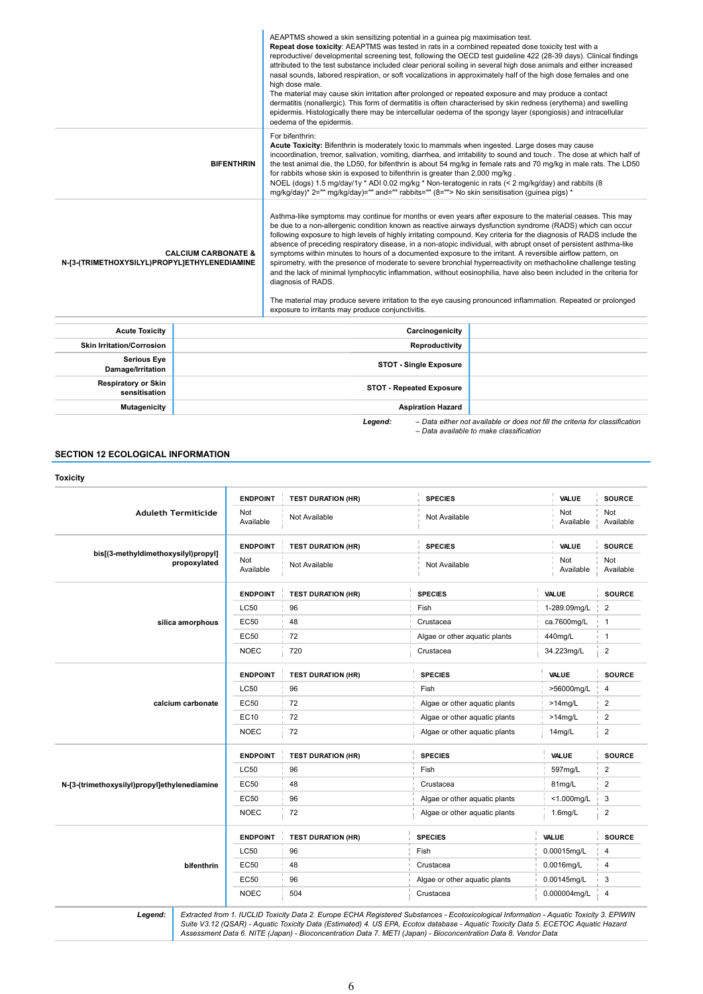|                                                                                | AEAPTMS showed a skin sensitizing potential in a guinea pig maximisation test.<br><b>Repeat dose toxicity:</b> AEAPTMS was tested in rats in a combined repeated dose toxicity test with a<br>reproductive/ developmental screening test, following the OECD test quideline 422 (28-39 days). Clinical findings<br>attributed to the test substance included clear perioral soiling in several high dose animals and either increased<br>nasal sounds, labored respiration, or soft vocalizations in approximately half of the high dose females and one<br>high dose male.<br>The material may cause skin irritation after prolonged or repeated exposure and may produce a contact<br>dermatitis (nonallergic). This form of dermatitis is often characterised by skin redness (erythema) and swelling<br>epidermis. Histologically there may be intercellular oedema of the spongy layer (spongiosis) and intracellular<br>oedema of the epidermis.                                                                   |
|--------------------------------------------------------------------------------|--------------------------------------------------------------------------------------------------------------------------------------------------------------------------------------------------------------------------------------------------------------------------------------------------------------------------------------------------------------------------------------------------------------------------------------------------------------------------------------------------------------------------------------------------------------------------------------------------------------------------------------------------------------------------------------------------------------------------------------------------------------------------------------------------------------------------------------------------------------------------------------------------------------------------------------------------------------------------------------------------------------------------|
| <b>BIFENTHRIN</b>                                                              | For bifenthrin:<br>Acute Toxicity: Bifenthrin is moderately toxic to mammals when ingested. Large doses may cause<br>incoordination, tremor, salivation, vomiting, diarrhea, and irritability to sound and touch. The dose at which half of<br>the test animal die, the LD50, for bifenthrin is about 54 mg/kg in female rats and 70 mg/kg in male rats. The LD50<br>for rabbits whose skin is exposed to bifenthrin is greater than 2,000 mg/kg.<br>NOEL (dogs) 1.5 mg/day/1y * ADI 0.02 mg/kg * Non-teratogenic in rats (< 2 mg/kg/day) and rabbits (8<br>mq/kq/day)* 2="" mq/kq/day)="" and="" rabbits="" (8=""> No skin sensitisation (quinea piqs) *                                                                                                                                                                                                                                                                                                                                                                |
| <b>CALCIUM CARBONATE &amp;</b><br>N-[3-(TRIMETHOXYSILYL)PROPYL]ETHYLENEDIAMINE | Asthma-like symptoms may continue for months or even years after exposure to the material ceases. This may<br>be due to a non-allergenic condition known as reactive airways dysfunction syndrome (RADS) which can occur<br>following exposure to high levels of highly irritating compound. Key criteria for the diagnosis of RADS include the<br>absence of preceding respiratory disease, in a non-atopic individual, with abrupt onset of persistent asthma-like<br>symptoms within minutes to hours of a documented exposure to the irritant. A reversible airflow pattern, on<br>spirometry, with the presence of moderate to severe bronchial hyperreactivity on methacholine challenge testing<br>and the lack of minimal lymphocytic inflammation, without eosinophilia, have also been included in the criteria for<br>diagnosis of RADS.<br>The material may produce severe irritation to the eye causing pronounced inflammation. Repeated or prolonged<br>exposure to irritants may produce conjunctivitis. |

ń

| <b>Acute Toxicity</b>                       | Carcinogenicity                 |                                                                                                                        |
|---------------------------------------------|---------------------------------|------------------------------------------------------------------------------------------------------------------------|
| <b>Skin Irritation/Corrosion</b>            | Reproductivity                  |                                                                                                                        |
| <b>Serious Eye</b><br>Damage/Irritation     | <b>STOT - Single Exposure</b>   |                                                                                                                        |
| <b>Respiratory or Skin</b><br>sensitisation | <b>STOT - Repeated Exposure</b> |                                                                                                                        |
| <b>Mutagenicity</b>                         | <b>Aspiration Hazard</b>        |                                                                                                                        |
|                                             | Legend:                         | - Data either not available or does not fill the criteria for classification<br>Dete evelleble to make along the other |

### – Data available to make classification

### SECTION 12 ECOLOGICAL INFORMATION

### **Toxicity**

|                                                     | <b>ENDPOINT</b>  | <b>TEST DURATION (HR)</b> | <b>SPECIES</b>                | VALUE            | <b>SOURCE</b>           |
|-----------------------------------------------------|------------------|---------------------------|-------------------------------|------------------|-------------------------|
| <b>Aduleth Termiticide</b>                          | Not<br>Available | Not Available             | Not Available                 | Not<br>Available | Not<br>Available        |
|                                                     | <b>ENDPOINT</b>  | <b>TEST DURATION (HR)</b> | <b>SPECIES</b>                | VALUE            | <b>SOURCE</b>           |
| bis[(3-methyldimethoxysilyl)propyl]<br>propoxylated | Not<br>Available | Not Available             | Not Available                 | Not<br>Available | Not<br>Available        |
|                                                     | <b>ENDPOINT</b>  | <b>TEST DURATION (HR)</b> | <b>SPECIES</b>                | VALUE            | <b>SOURCE</b>           |
|                                                     | <b>LC50</b>      | 96                        | Fish                          | 1-289.09mg/L     | 2                       |
| silica amorphous                                    | <b>EC50</b>      | 48                        | Crustacea                     | ca.7600mg/L      | $\mathbf{1}$            |
|                                                     | <b>EC50</b>      | 72                        | Algae or other aquatic plants | 440mg/L          | $\overline{1}$          |
|                                                     | <b>NOEC</b>      | 720                       | Crustacea                     | 34.223mg/L       | $\overline{2}$          |
|                                                     | <b>ENDPOINT</b>  | <b>TEST DURATION (HR)</b> | <b>SPECIES</b>                | VALUE            | <b>SOURCE</b>           |
|                                                     | <b>LC50</b>      | 96                        | Fish                          | >56000mg/L       | 4                       |
| calcium carbonate                                   | EC50             | 72                        | Algae or other aquatic plants | $>14$ mg/L       | 2                       |
|                                                     | EC10             | 72                        | Algae or other aquatic plants | $>14$ mg/L       | 2                       |
|                                                     | <b>NOEC</b>      | 72                        | Algae or other aquatic plants | $14$ mg/L        | $\overline{2}$          |
|                                                     | <b>ENDPOINT</b>  | <b>TEST DURATION (HR)</b> | <b>SPECIES</b>                | <b>VALUE</b>     | <b>SOURCE</b>           |
|                                                     | <b>LC50</b>      | 96                        | Fish                          | 597mg/L          | 2                       |
| N-[3-(trimethoxysilyl)propyl]ethylenediamine        | EC50             | 48                        | Crustacea                     | 81mg/L           | 2                       |
|                                                     | <b>EC50</b>      | 96                        | Algae or other aguatic plants | <1.000mg/L       | 3                       |
|                                                     | <b>NOEC</b>      | 72                        | Algae or other aguatic plants | $1.6$ mg/L       | $\overline{\mathbf{c}}$ |
|                                                     | <b>ENDPOINT</b>  | <b>TEST DURATION (HR)</b> | <b>SPECIES</b>                | VALUE            | <b>SOURCE</b>           |
|                                                     | <b>LC50</b>      | 96                        | Fish                          | 0.00015mg/L      | 4                       |
| bifenthrin                                          | <b>EC50</b>      | 48                        | Crustacea                     | 0.0016mg/L       | 4                       |
|                                                     | <b>EC50</b>      | 96                        | Algae or other aquatic plants | 0.00145mg/L      | 3                       |
| <b>NOEC</b>                                         |                  | 504                       | Crustacea                     | 0.000004mg/L     | 4                       |

Assessment Data 6. NITE (Japan) - Bioconcentration Data 7. METI (Japan) - Bioconcentration Data 8. Vendor Data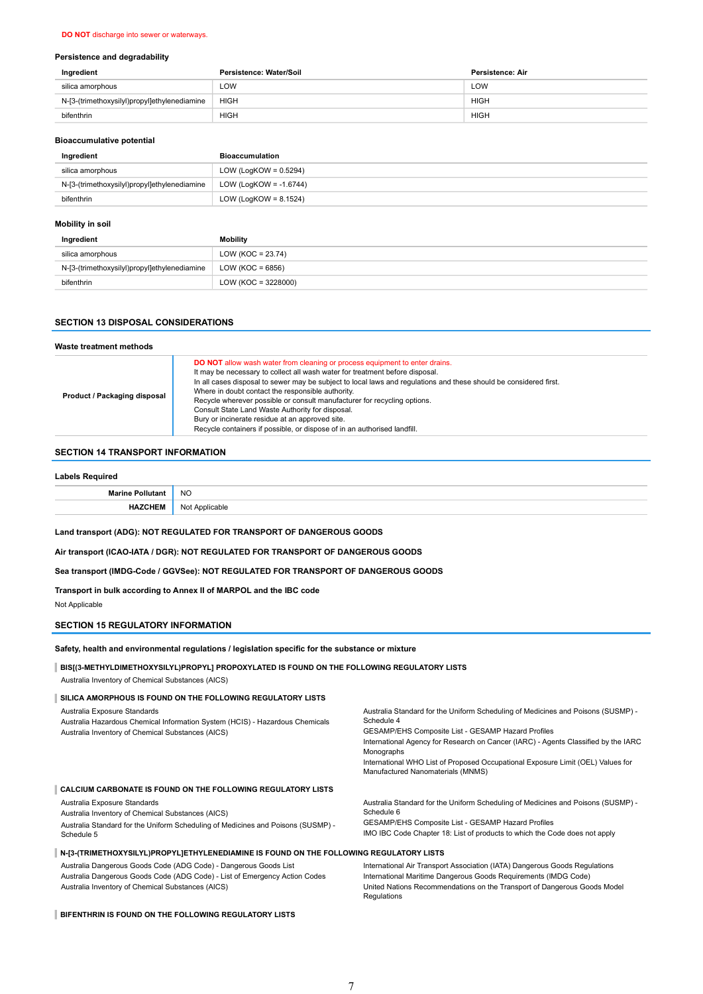#### Persistence and degradability

| Ingredient                                   | Persistence: Water/Soil | Persistence: Air |
|----------------------------------------------|-------------------------|------------------|
| silica amorphous                             | LOW                     | LOW              |
| N-[3-(trimethoxysilyl)propyl]ethylenediamine | <b>HIGH</b>             | <b>HIGH</b>      |
| bifenthrin                                   | <b>HIGH</b>             | HIGH             |

#### Bioaccumulative potential

| <b>Bioaccumulation</b>    |
|---------------------------|
| LOW (LogKOW = $0.5294$ )  |
| LOW (LogKOW = $-1.6744$ ) |
| LOW (LogKOW = $8.1524$ )  |
|                           |

#### Mobility in soil

| Ingredient                                   | Mobility              |
|----------------------------------------------|-----------------------|
| silica amorphous                             | $LOW (KOC = 23.74)$   |
| N-[3-(trimethoxysilyl)propyl]ethylenediamine | LOW (KOC = $6856$ )   |
| bifenthrin                                   | $LOW (KOC = 3228000)$ |

### SECTION 13 DISPOSAL CONSIDERATIONS

| Waste treatment methods      |                                                                                                                                                                                                                                                                                                                                                                                                                                                                                                                                                                                                             |  |  |  |
|------------------------------|-------------------------------------------------------------------------------------------------------------------------------------------------------------------------------------------------------------------------------------------------------------------------------------------------------------------------------------------------------------------------------------------------------------------------------------------------------------------------------------------------------------------------------------------------------------------------------------------------------------|--|--|--|
| Product / Packaging disposal | <b>DO NOT</b> allow wash water from cleaning or process equipment to enter drains.<br>It may be necessary to collect all wash water for treatment before disposal.<br>In all cases disposal to sewer may be subject to local laws and regulations and these should be considered first.<br>Where in doubt contact the responsible authority.<br>Recycle wherever possible or consult manufacturer for recycling options.<br>Consult State Land Waste Authority for disposal.<br>Bury or incinerate residue at an approved site.<br>Recycle containers if possible, or dispose of in an authorised landfill. |  |  |  |

#### SECTION 14 TRANSPORT INFORMATION

#### Labels Required

| <b>NC</b> |  |
|-----------|--|
|           |  |

Land transport (ADG): NOT REGULATED FOR TRANSPORT OF DANGEROUS GOODS

Air transport (ICAO-IATA / DGR): NOT REGULATED FOR TRANSPORT OF DANGEROUS GOODS

Sea transport (IMDG-Code / GGVSee): NOT REGULATED FOR TRANSPORT OF DANGEROUS GOODS

Transport in bulk according to Annex II of MARPOL and the IBC code Not Applicable

### SECTION 15 REGULATORY INFORMATION

#### Safety, health and environmental regulations / legislation specific for the substance or mixture

| BIS[(3-METHYLDIMETHOXYSILYL)PROPYL] PROPOXYLATED IS FOUND ON THE FOLLOWING REGULATORY LISTS |
|---------------------------------------------------------------------------------------------|
| Australia Inventory of Chemical Substances (AICS)                                           |

#### SILICA AMORPHOUS IS FOUND ON THE FOLLOWING REGULATORY LISTS

Australia Exposure Standards Australia Hazardous Chemical Information System (HCIS) - Hazardous Chemicals Australia Inventory of Chemical Substances (AICS) Schedule 4

Australia Standard for the Uniform Scheduling of Medicines and Poisons (SUSMP) -

GESAMP/EHS Composite List - GESAMP Hazard Profiles

International Agency for Research on Cancer (IARC) - Agents Classified by the IARC Monographs

International WHO List of Proposed Occupational Exposure Limit (OEL) Values for Manufactured Nanomaterials (MNMS)

# CALCIUM CARBONATE IS FOUND ON THE FOLLOWING REGULATORY LISTS

Australia Exposure Standards

Australia Inventory of Chemical Substances (AICS) Australia Standard for the Uniform Scheduling of Medicines and Poisons (SUSMP) - Schedule 5

Australia Standard for the Uniform Scheduling of Medicines and Poisons (SUSMP) - Schedule 6 GESAMP/EHS Composite List - GESAMP Hazard Profiles

IMO IBC Code Chapter 18: List of products to which the Code does not apply N-[3-(TRIMETHOXYSILYL)PROPYL]ETHYLENEDIAMINE IS FOUND ON THE FOLLOWING REGULATORY LISTS

Australia Dangerous Goods Code (ADG Code) - Dangerous Goods List Australia Dangerous Goods Code (ADG Code) - List of Emergency Action Codes Australia Inventory of Chemical Substances (AICS)

International Air Transport Association (IATA) Dangerous Goods Regulations International Maritime Dangerous Goods Requirements (IMDG Code) United Nations Recommendations on the Transport of Dangerous Goods Model Regulations

**BIFENTHRIN IS FOUND ON THE FOLLOWING REGULATORY LISTS**